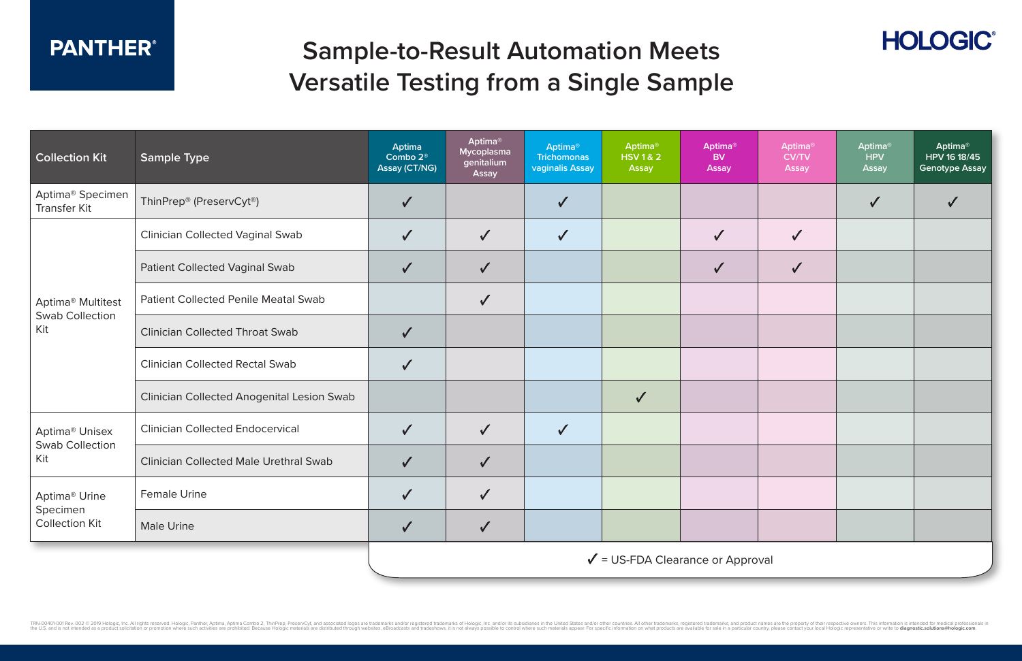| <b>Collection Kit</b>                                          | <b>Sample Type</b>                                | Aptima<br>Combo 2 <sup>®</sup><br>Assay (CT/NG) | Aptima®<br>Mycoplasma<br>genitalium<br>Assay | Aptima <sup>®</sup><br><b>Trichomonas</b><br>vaginalis Assay | Aptima <sup>®</sup><br><b>HSV1&amp;2</b><br>Assay | <b>Aptima®</b><br><b>BV</b><br><b>Assay</b> | <b>Aptima®</b><br><b>CV/TV</b><br><b>Assay</b> | <b>Aptima</b> ®<br><b>HPV</b><br>Assay | Aptima <sup>®</sup><br>HPV 16 18/45<br><b>Genotype Assay</b> |  |  |  |  |
|----------------------------------------------------------------|---------------------------------------------------|-------------------------------------------------|----------------------------------------------|--------------------------------------------------------------|---------------------------------------------------|---------------------------------------------|------------------------------------------------|----------------------------------------|--------------------------------------------------------------|--|--|--|--|
| Aptima <sup>®</sup> Specimen<br><b>Transfer Kit</b>            | ThinPrep® (PreservCyt®)                           |                                                 |                                              |                                                              |                                                   |                                             |                                                | $\checkmark$                           | $\checkmark$                                                 |  |  |  |  |
| Aptima <sup>®</sup> Multitest<br><b>Swab Collection</b><br>Kit | <b>Clinician Collected Vaginal Swab</b>           |                                                 | $\checkmark$                                 | $\checkmark$                                                 |                                                   |                                             | $\checkmark$                                   |                                        |                                                              |  |  |  |  |
|                                                                | <b>Patient Collected Vaginal Swab</b>             | $\checkmark$                                    | $\checkmark$                                 |                                                              |                                                   | $\checkmark$                                | $\checkmark$                                   |                                        |                                                              |  |  |  |  |
|                                                                | <b>Patient Collected Penile Meatal Swab</b>       |                                                 | $\checkmark$                                 |                                                              |                                                   |                                             |                                                |                                        |                                                              |  |  |  |  |
|                                                                | <b>Clinician Collected Throat Swab</b>            |                                                 |                                              |                                                              |                                                   |                                             |                                                |                                        |                                                              |  |  |  |  |
|                                                                | <b>Clinician Collected Rectal Swab</b>            |                                                 |                                              |                                                              |                                                   |                                             |                                                |                                        |                                                              |  |  |  |  |
|                                                                | <b>Clinician Collected Anogenital Lesion Swab</b> |                                                 |                                              |                                                              | $\checkmark$                                      |                                             |                                                |                                        |                                                              |  |  |  |  |
| Aptima <sup>®</sup> Unisex<br><b>Swab Collection</b><br>Kit    | <b>Clinician Collected Endocervical</b>           | $\checkmark$                                    | $\checkmark$                                 | $\checkmark$                                                 |                                                   |                                             |                                                |                                        |                                                              |  |  |  |  |
|                                                                | <b>Clinician Collected Male Urethral Swab</b>     |                                                 | $\checkmark$                                 |                                                              |                                                   |                                             |                                                |                                        |                                                              |  |  |  |  |
| Aptima <sup>®</sup> Urine<br>Specimen<br><b>Collection Kit</b> | <b>Female Urine</b>                               |                                                 |                                              |                                                              |                                                   |                                             |                                                |                                        |                                                              |  |  |  |  |
|                                                                | <b>Male Urine</b>                                 | $\checkmark$                                    | $\checkmark$                                 |                                                              |                                                   |                                             |                                                |                                        |                                                              |  |  |  |  |
|                                                                |                                                   | $\checkmark$ = US-FDA Clearance or Approval     |                                              |                                                              |                                                   |                                             |                                                |                                        |                                                              |  |  |  |  |



#### **PANTHER®**

## **Sample-to-Result Automation Meets Versatile Testing from a Single Sample**